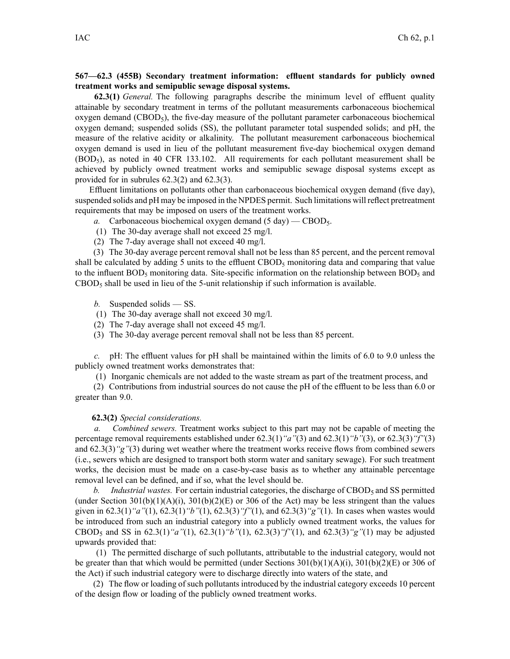## **567—62.3 (455B) Secondary treatment information: effluent standards for publicly owned treatment works and semipublic sewage disposal systems.**

**62.3(1)** *General.* The following paragraphs describe the minimum level of effluent quality attainable by secondary treatment in terms of the pollutant measurements carbonaceous biochemical oxygen demand  $(CBOD<sub>5</sub>)$ , the five-day measure of the pollutant parameter carbonaceous biochemical oxygen demand; suspended solids (SS), the pollutant parameter total suspended solids; and pH, the measure of the relative acidity or alkalinity. The pollutant measurement carbonaceous biochemical oxygen demand is used in lieu of the pollutant measurement five-day biochemical oxygen demand  $(BOD<sub>5</sub>)$ , as noted in 40 CFR 133.102. All requirements for each pollutant measurement shall be achieved by publicly owned treatment works and semipublic sewage disposal systems excep<sup>t</sup> as provided for in subrules 62.3(2) and 62.3(3).

Effluent limitations on pollutants other than carbonaceous biochemical oxygen demand (five day), suspended solids and pH may be imposed in the NPDES permit. Such limitations will reflect pretreatment requirements that may be imposed on users of the treatment works.

- *a.* Carbonaceous biochemical oxygen demand  $(5 \text{ day})$  CBOD<sub>5</sub>.
- (1) The 30-day average shall not exceed 25 mg/l.
- (2) The 7-day average shall not exceed 40 mg/l.

(3) The 30-day average percen<sup>t</sup> removal shall not be less than 85 percent, and the percen<sup>t</sup> removal shall be calculated by adding 5 units to the effluent CBOD<sub>5</sub> monitoring data and comparing that value to the influent  $BOD_5$  monitoring data. Site-specific information on the relationship between  $BOD_5$  and  $CBOD<sub>5</sub>$  shall be used in lieu of the 5-unit relationship if such information is available.

- *b.* Suspended solids SS.
- (1) The 30-day average shall not exceed 30 mg/l.
- (2) The 7-day average shall not exceed 45 mg/l.
- (3) The 30-day average percen<sup>t</sup> removal shall not be less than 85 percent.

*c.* pH: The effluent values for pH shall be maintained within the limits of 6.0 to 9.0 unless the publicly owned treatment works demonstrates that:

(1) Inorganic chemicals are not added to the waste stream as par<sup>t</sup> of the treatment process, and

(2) Contributions from industrial sources do not cause the pH of the effluent to be less than 6.0 or greater than 9.0.

## **62.3(2)** *Special considerations.*

*a. Combined sewers.* Treatment works subject to this par<sup>t</sup> may not be capable of meeting the percentage removal requirements established under 62.3(1)*"a"*(3) and 62.3(1)*"b"*(3), or 62.3(3)*"f"*(3) and 62.3(3)*"g"*(3) during wet weather where the treatment works receive flows from combined sewers (i.e., sewers which are designed to transport both storm water and sanitary sewage). For such treatment works, the decision must be made on <sup>a</sup> case-by-case basis as to whether any attainable percentage removal level can be defined, and if so, what the level should be.

*b. Industrial wastes.* For certain industrial categories, the discharge of CBOD<sub>5</sub> and SS permitted (under Section  $301(b)(1)(A)(i)$ ,  $301(b)(2)(E)$  or 306 of the Act) may be less stringent than the values given in 62.3(1)*"a"*(1), 62.3(1)*"b"*(1), 62.3(3)*"f"*(1), and 62.3(3)*"g"*(1). In cases when wastes would be introduced from such an industrial category into <sup>a</sup> publicly owned treatment works, the values for CBOD<sup>5</sup> and SS in 62.3(1)*"a"*(1), 62.3(1)*"b"*(1), 62.3(3)*"f"*(1), and 62.3(3)*"g"*(1) may be adjusted upwards provided that:

(1) The permitted discharge of such pollutants, attributable to the industrial category, would not be greater than that which would be permitted (under Sections 301(b)(1)(A)(i), 301(b)(2)(E) or 306 of the Act) if such industrial category were to discharge directly into waters of the state, and

(2) The flow or loading of such pollutants introduced by the industrial category exceeds 10 percen<sup>t</sup> of the design flow or loading of the publicly owned treatment works.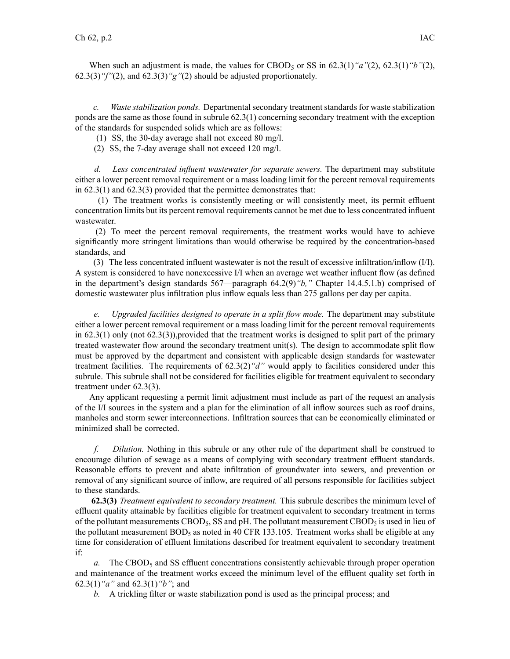When such an adjustment is made, the values for CBOD<sub>5</sub> or SS in  $62.3(1)$  " $a$ "(2),  $62.3(1)$  " $b$ "(2), 62.3(3)*"f"*(2), and 62.3(3)*"g"*(2) should be adjusted proportionately.

*c. Waste stabilization ponds.* Departmental secondary treatment standards for waste stabilization ponds are the same as those found in subrule 62.3(1) concerning secondary treatment with the exception of the standards for suspended solids which are as follows:

(1) SS, the 30-day average shall not exceed 80 mg/l.

(2) SS, the 7-day average shall not exceed 120 mg/l.

*d. Less concentrated influent wastewater for separate sewers.* The department may substitute either <sup>a</sup> lower percen<sup>t</sup> removal requirement or <sup>a</sup> mass loading limit for the percen<sup>t</sup> removal requirements in 62.3(1) and 62.3(3) provided that the permittee demonstrates that:

(1) The treatment works is consistently meeting or will consistently meet, its permit effluent concentration limits but its percen<sup>t</sup> removal requirements cannot be met due to less concentrated influent wastewater.

(2) To meet the percen<sup>t</sup> removal requirements, the treatment works would have to achieve significantly more stringent limitations than would otherwise be required by the concentration-based standards, and

(3) The less concentrated influent wastewater is not the result of excessive infiltration/inflow (I/I). A system is considered to have nonexcessive I/I when an average wet weather influent flow (as defined in the department's design standards 567—paragraph 64.2(9)*"b,"* Chapter 14.4.5.1.b) comprised of domestic wastewater plus infiltration plus inflow equals less than 275 gallons per day per capita.

*e. Upgraded facilities designed to operate in <sup>a</sup> split flow mode.* The department may substitute either <sup>a</sup> lower percen<sup>t</sup> removal requirement or <sup>a</sup> mass loading limit for the percen<sup>t</sup> removal requirements in 62.3(1) only (not 62.3(3)),provided that the treatment works is designed to split part of the primary treated wastewater flow around the secondary treatment unit(s). The design to accommodate split flow must be approved by the department and consistent with applicable design standards for wastewater treatment facilities. The requirements of 62.3(2)*"d"* would apply to facilities considered under this subrule. This subrule shall not be considered for facilities eligible for treatment equivalent to secondary treatment under 62.3(3).

Any applicant requesting <sup>a</sup> permit limit adjustment must include as par<sup>t</sup> of the reques<sup>t</sup> an analysis of the I/I sources in the system and <sup>a</sup> plan for the elimination of all inflow sources such as roof drains, manholes and storm sewer interconnections. Infiltration sources that can be economically eliminated or minimized shall be corrected.

*f. Dilution.* Nothing in this subrule or any other rule of the department shall be construed to encourage dilution of sewage as <sup>a</sup> means of complying with secondary treatment effluent standards. Reasonable efforts to preven<sup>t</sup> and abate infiltration of groundwater into sewers, and prevention or removal of any significant source of inflow, are required of all persons responsible for facilities subject to these standards.

**62.3(3)** *Treatment equivalent to secondary treatment.* This subrule describes the minimum level of effluent quality attainable by facilities eligible for treatment equivalent to secondary treatment in terms of the pollutant measurements CBOD<sub>5</sub>, SS and pH. The pollutant measurement CBOD<sub>5</sub> is used in lieu of the pollutant measurement  $BOD<sub>5</sub>$  as noted in 40 CFR 133.105. Treatment works shall be eligible at any time for consideration of effluent limitations described for treatment equivalent to secondary treatment if:

*a.* The CBOD<sub>5</sub> and SS effluent concentrations consistently achievable through proper operation and maintenance of the treatment works exceed the minimum level of the effluent quality set forth in 62.3(1)*"a"* and 62.3(1)*"b"*; and

*b.* A trickling filter or waste stabilization pond is used as the principal process; and